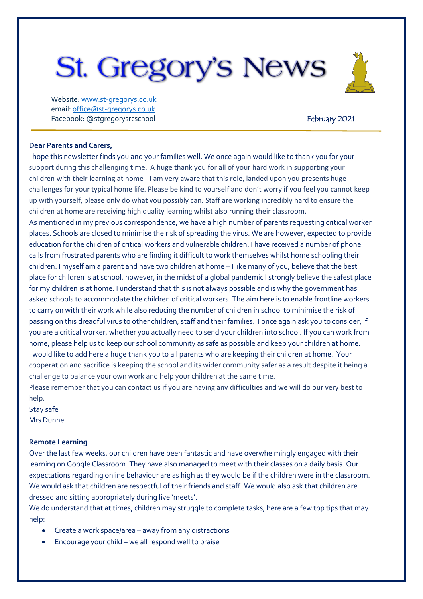# **St. Gregory's News**

Website[: www.st-gregorys.co.uk](http://www.st-gregorys.co.uk/) email[: office@st-gregorys.co.uk](mailto:office@st-gregorys.co.uk) Facebook: @stgregorysrcschool Facebook: @stgregorysrcschool

#### **Dear Parents and Carers,**

I hope this newsletter finds you and your families well. We once again would like to thank you for your support during this challenging time. A huge thank you for all of your hard work in supporting your children with their learning at home - I am very aware that this role, landed upon you presents huge challenges for your typical home life. Please be kind to yourself and don't worry if you feel you cannot keep up with yourself, please only do what you possibly can. Staff are working incredibly hard to ensure the children at home are receiving high quality learning whilst also running their classroom.

As mentioned in my previous correspondence, we have a high number of parents requesting critical worker places. Schools are closed to minimise the risk of spreading the virus. We are however, expected to provide education for the children of critical workers and vulnerable children. I have received a number of phone calls from frustrated parents who are finding it difficult to work themselves whilst home schooling their children. I myself am a parent and have two children at home – I like many of you, believe that the best place for children is at school, however, in the midst of a global pandemic I strongly believe the safest place for my children is at home. I understand that this is not always possible and is why the government has asked schools to accommodate the children of critical workers. The aim here is to enable frontline workers to carry on with their work while also reducing the number of children in school to minimise the risk of passing on this dreadful virus to other children, staff and their families. I once again ask you to consider, if you are a critical worker, whether you actually need to send your children into school. If you can work from home, please help us to keep our school community as safe as possible and keep your children at home. I would like to add here a huge thank you to all parents who are keeping their children at home. Your cooperation and sacrifice is keeping the school and its wider community safer as a result despite it being a challenge to balance your own work and help your children at the same time.

Please remember that you can contact us if you are having any difficulties and we will do our very best to help.

Stay safe Mrs Dunne

#### **Remote Learning**

Over the last few weeks, our children have been fantastic and have overwhelmingly engaged with their learning on Google Classroom. They have also managed to meet with their classes on a daily basis. Our expectations regarding online behaviour are as high as they would be if the children were in the classroom. We would ask that children are respectful of their friends and staff. We would also ask that children are dressed and sitting appropriately during live 'meets'.

We do understand that at times, children may struggle to complete tasks, here are a few top tips that may help:

- Create a work space/area away from any distractions
- Encourage your child we all respond well to praise